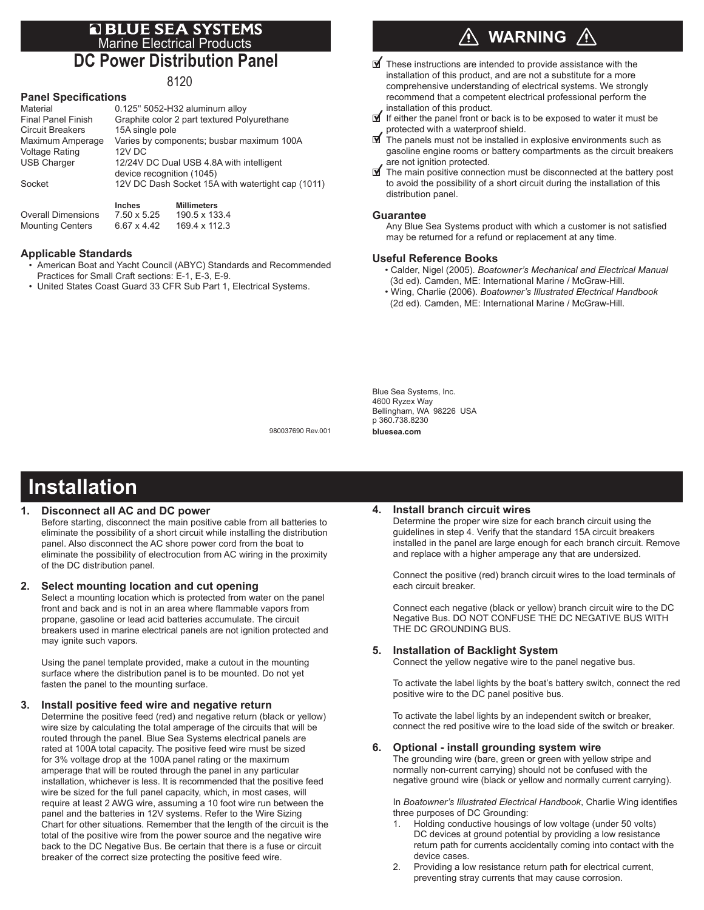## **E BLUE SEA SYSTEMS**<br>Marine Electrical Products **DC Power Distribution Panel**

8120

#### **Panel Specifications**

|                           | <b>Inches</b><br><b>Millimeters</b>               |  |  |  |  |  |  |
|---------------------------|---------------------------------------------------|--|--|--|--|--|--|
| Socket                    | 12V DC Dash Socket 15A with watertight cap (1011) |  |  |  |  |  |  |
|                           | device recognition (1045)                         |  |  |  |  |  |  |
| <b>USB Charger</b>        | 12/24V DC Dual USB 4.8A with intelligent          |  |  |  |  |  |  |
| <b>Voltage Rating</b>     | 12V DC                                            |  |  |  |  |  |  |
| Maximum Amperage          | Varies by components; busbar maximum 100A         |  |  |  |  |  |  |
| <b>Circuit Breakers</b>   | 15A single pole                                   |  |  |  |  |  |  |
| <b>Final Panel Finish</b> | Graphite color 2 part textured Polyurethane       |  |  |  |  |  |  |
| Material                  | 0.125" 5052-H32 aluminum alloy                    |  |  |  |  |  |  |
|                           |                                                   |  |  |  |  |  |  |

Overall Dimensions 7.50 x 5.25 190.5 x 133.4<br>Mounting Centers 6.67 x 4.42 169.4 x 112.3 Mounting Centers 6.67 x 4.42

#### **Applicable Standards**

- American Boat and Yacht Council (ABYC) Standards and Recommended Practices for Small Craft sections: E-1, E-3, E-9.
- United States Coast Guard 33 CFR Sub Part 1, Electrical Systems.

## **WARNING**

- $\mathbf{\nabla}$  These instructions are intended to provide assistance with the installation of this product, and are not a substitute for a more comprehensive understanding of electrical systems. We strongly recommend that a competent electrical professional perform the installation of this product.
- If either the panel front or back is to be exposed to water it must be protected with a waterproof shield.
- The panels must not be installed in explosive environments such as gasoline engine rooms or battery compartments as the circuit breakers are not ignition protected.
- $\blacksquare$  The main positive connection must be disconnected at the battery post to avoid the possibility of a short circuit during the installation of this distribution panel.

#### **Guarantee**

 Any Blue Sea Systems product with which a customer is not satisfied may be returned for a refund or replacement at any time.

#### **Useful Reference Books**

- Calder, Nigel (2005). *Boatowner's Mechanical and Electrical Manual*  (3d ed). Camden, ME: International Marine / McGraw-Hill.
- Wing, Charlie (2006). *Boatowner's Illustrated Electrical Handbook*  (2d ed). Camden, ME: International Marine / McGraw-Hill.

Blue Sea Systems, Inc. 4600 Ryzex Way Bellingham, WA 98226 USA p 360.738.8230 **bluesea.com**

980037690 Rev.001

## **Installation**

### **1. Disconnect all AC and DC power**

Before starting, disconnect the main positive cable from all batteries to eliminate the possibility of a short circuit while installing the distribution panel. Also disconnect the AC shore power cord from the boat to eliminate the possibility of electrocution from AC wiring in the proximity of the DC distribution panel.

#### **2. Select mounting location and cut opening**

Select a mounting location which is protected from water on the panel front and back and is not in an area where flammable vapors from propane, gasoline or lead acid batteries accumulate. The circuit breakers used in marine electrical panels are not ignition protected and may ignite such vapors.

Using the panel template provided, make a cutout in the mounting surface where the distribution panel is to be mounted. Do not yet fasten the panel to the mounting surface.

#### **3. Install positive feed wire and negative return**

Determine the positive feed (red) and negative return (black or yellow) wire size by calculating the total amperage of the circuits that will be routed through the panel. Blue Sea Systems electrical panels are rated at 100A total capacity. The positive feed wire must be sized for 3% voltage drop at the 100A panel rating or the maximum amperage that will be routed through the panel in any particular installation, whichever is less. It is recommended that the positive feed wire be sized for the full panel capacity, which, in most cases, will require at least 2 AWG wire, assuming a 10 foot wire run between the panel and the batteries in 12V systems. Refer to the Wire Sizing Chart for other situations. Remember that the length of the circuit is the total of the positive wire from the power source and the negative wire back to the DC Negative Bus. Be certain that there is a fuse or circuit breaker of the correct size protecting the positive feed wire.

#### **4. Install branch circuit wires**

Determine the proper wire size for each branch circuit using the guidelines in step 4. Verify that the standard 15A circuit breakers installed in the panel are large enough for each branch circuit. Remove and replace with a higher amperage any that are undersized.

Connect the positive (red) branch circuit wires to the load terminals of each circuit breaker.

Connect each negative (black or yellow) branch circuit wire to the DC Negative Bus. DO NOT CONFUSE THE DC NEGATIVE BUS WITH THE DC GROUNDING BUS.

#### **5. Installation of Backlight System**

Connect the yellow negative wire to the panel negative bus.

To activate the label lights by the boat's battery switch, connect the red positive wire to the DC panel positive bus.

To activate the label lights by an independent switch or breaker, connect the red positive wire to the load side of the switch or breaker.

#### **6. Optional - install grounding system wire**

The grounding wire (bare, green or green with yellow stripe and normally non-current carrying) should not be confused with the negative ground wire (black or yellow and normally current carrying).

In *Boatowner's Illustrated Electrical Handbook*, Charlie Wing identifies three purposes of DC Grounding:

- 1. Holding conductive housings of low voltage (under 50 volts) DC devices at ground potential by providing a low resistance return path for currents accidentally coming into contact with the device cases.
- Providing a low resistance return path for electrical current, preventing stray currents that may cause corrosion.